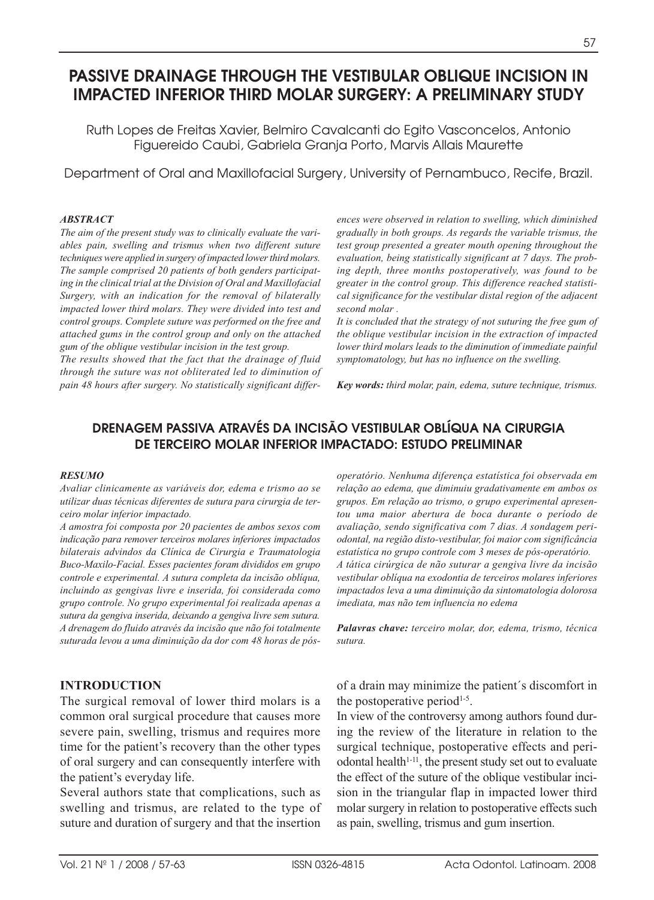# **PASSIVE DRAINAGE THROUGH THE VESTIBULAR OBLIQUE INCISION IN IMPACTED INFERIOR THIRD MOLAR SURGERY: A PRELIMINARY STUDY**

Ruth Lopes de Freitas Xavier, Belmiro Cavalcanti do Egito Vasconcelos, Antonio Figuereido Caubi, Gabriela Granja Porto, Marvis Allais Maurette

Department of Oral and Maxillofacial Surgery, University of Pernambuco, Recife, Brazil.

#### *ABSTRACT*

*The aim of the present study was to clinically evaluate the variables pain, swelling and trismus when two different suture techniques were applied in surgery of impacted lower third molars. The sample comprised 20 patients of both genders participating in the clinical trial at the Division of Oral and Maxillofacial Surgery, with an indication for the removal of bilaterally impacted lower third molars. They were divided into test and control groups. Complete suture was performed on the free and attached gums in the control group and only on the attached gum of the oblique vestibular incision in the test group.* 

*The results showed that the fact that the drainage of fluid through the suture was not obliterated led to diminution of pain 48 hours after surgery. No statistically significant differ-* *ences were observed in relation to swelling, which diminished gradually in both groups. As regards the variable trismus, the test group presented a greater mouth opening throughout the evaluation, being statistically significant at 7 days. The probing depth, three months postoperatively, was found to be greater in the control group. This difference reached statistical significance for the vestibular distal region of the adjacent second molar .* 

*It is concluded that the strategy of not suturing the free gum of the oblique vestibular incision in the extraction of impacted lower third molars leads to the diminution of immediate painful symptomatology, but has no influence on the swelling.* 

*Key words: third molar, pain, edema, suture technique, trismus.*

# **DRENAGEM PASSIVA ATRAVÉS DA INCISÃO VESTIBULAR OBLÍQUA NA CIRURGIA DE TERCEIRO MOLAR INFERIOR IMPACTADO: ESTUDO PRELIMINAR**

#### *RESUMO*

*Avaliar clinicamente as variáveis dor, edema e trismo ao se utilizar duas técnicas diferentes de sutura para cirurgia de terceiro molar inferior impactado.*

*A amostra foi composta por 20 pacientes de ambos sexos com indicação para remover terceiros molares inferiores impactados bilaterais advindos da Clínica de Cirurgia e Traumatologia Buco-Maxilo-Facial. Esses pacientes foram divididos em grupo controle e experimental. A sutura completa da incisão oblíqua, incluindo as gengivas livre e inserida, foi considerada como grupo controle. No grupo experimental foi realizada apenas a sutura da gengiva inserida, deixando a gengiva livre sem sutura. A drenagem do fluido através da incisão que não foi totalmente suturada levou a uma diminuição da dor com 48 horas de pós-*

### **INTRODUCTION**

The surgical removal of lower third molars is a common oral surgical procedure that causes more severe pain, swelling, trismus and requires more time for the patient's recovery than the other types of oral surgery and can consequently interfere with the patient's everyday life.

Several authors state that complications, such as swelling and trismus, are related to the type of suture and duration of surgery and that the insertion *operatório. Nenhuma diferença estatística foi observada em relação ao edema, que diminuiu gradativamente em ambos os grupos. Em relação ao trismo, o grupo experimental apresentou uma maior abertura de boca durante o período de avaliação, sendo significativa com 7 dias. A sondagem periodontal, na região disto-vestibular, foi maior com significância estatística no grupo controle com 3 meses de pós-operatório. A tática cirúrgica de não suturar a gengiva livre da incisão vestibular oblíqua na exodontia de terceiros molares inferiores impactados leva a uma diminuição da sintomatologia dolorosa imediata, mas não tem influencia no edema*

*Palavras chave: terceiro molar, dor, edema, trismo, técnica sutura.*

of a drain may minimize the patient´s discomfort in the postoperative period<sup> $1-5$ </sup>.

In view of the controversy among authors found during the review of the literature in relation to the surgical technique, postoperative effects and periodontal health $1-11$ , the present study set out to evaluate the effect of the suture of the oblique vestibular incision in the triangular flap in impacted lower third molar surgery in relation to postoperative effects such as pain, swelling, trismus and gum insertion.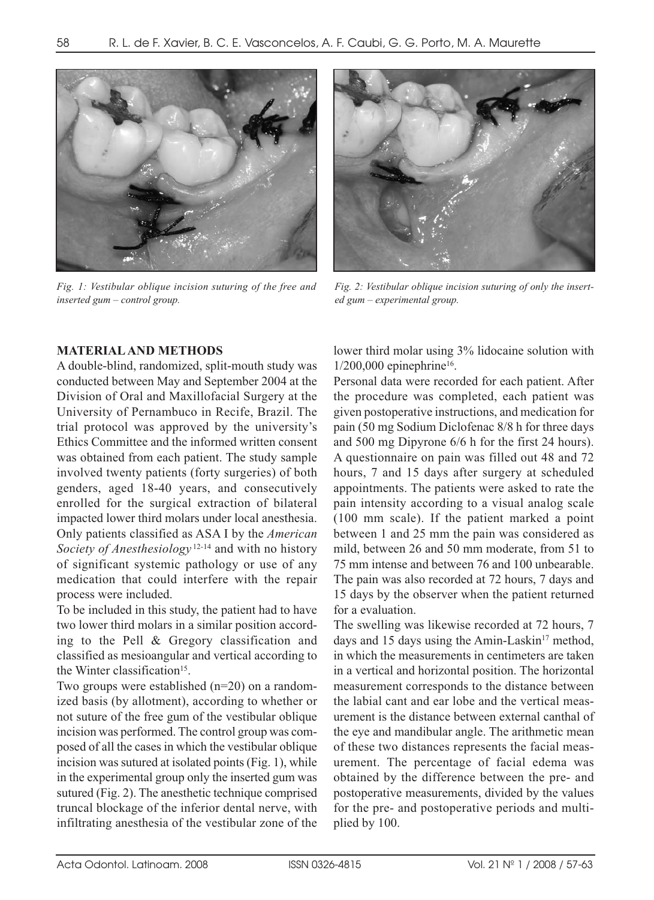

*Fig. 1: Vestibular oblique incision suturing of the free and inserted gum – control group.*

### **MATERIAL AND METHODS**

A double-blind, randomized, split-mouth study was conducted between May and September 2004 at the Division of Oral and Maxillofacial Surgery at the University of Pernambuco in Recife, Brazil. The trial protocol was approved by the university's Ethics Committee and the informed written consent was obtained from each patient. The study sample involved twenty patients (forty surgeries) of both genders, aged 18-40 years, and consecutively enrolled for the surgical extraction of bilateral impacted lower third molars under local anesthesia. Only patients classified as ASA I by the *American Society of Anesthesiology* 12-14 and with no history of significant systemic pathology or use of any medication that could interfere with the repair process were included.

To be included in this study, the patient had to have two lower third molars in a similar position according to the Pell & Gregory classification and classified as mesioangular and vertical according to the Winter classification<sup>15</sup>.

Two groups were established (n=20) on a randomized basis (by allotment), according to whether or not suture of the free gum of the vestibular oblique incision was performed. The control group was composed of all the cases in which the vestibular oblique incision was sutured at isolated points (Fig. 1), while in the experimental group only the inserted gum was sutured (Fig. 2). The anesthetic technique comprised truncal blockage of the inferior dental nerve, with infiltrating anesthesia of the vestibular zone of the



*Fig. 2: Vestibular oblique incision suturing of only the inserted gum – experimental group.*

lower third molar using 3% lidocaine solution with  $1/200,000$  epinephrine<sup>16</sup>.

Personal data were recorded for each patient. After the procedure was completed, each patient was given postoperative instructions, and medication for pain (50 mg Sodium Diclofenac 8/8 h for three days and 500 mg Dipyrone 6/6 h for the first 24 hours). A questionnaire on pain was filled out 48 and 72 hours, 7 and 15 days after surgery at scheduled appointments. The patients were asked to rate the pain intensity according to a visual analog scale (100 mm scale). If the patient marked a point between 1 and 25 mm the pain was considered as mild, between 26 and 50 mm moderate, from 51 to 75 mm intense and between 76 and 100 unbearable. The pain was also recorded at 72 hours, 7 days and 15 days by the observer when the patient returned for a evaluation.

The swelling was likewise recorded at 72 hours, 7 days and 15 days using the Amin-Laskin $17$  method, in which the measurements in centimeters are taken in a vertical and horizontal position. The horizontal measurement corresponds to the distance between the labial cant and ear lobe and the vertical measurement is the distance between external canthal of the eye and mandibular angle. The arithmetic mean of these two distances represents the facial measurement. The percentage of facial edema was obtained by the difference between the pre- and postoperative measurements, divided by the values for the pre- and postoperative periods and multiplied by 100.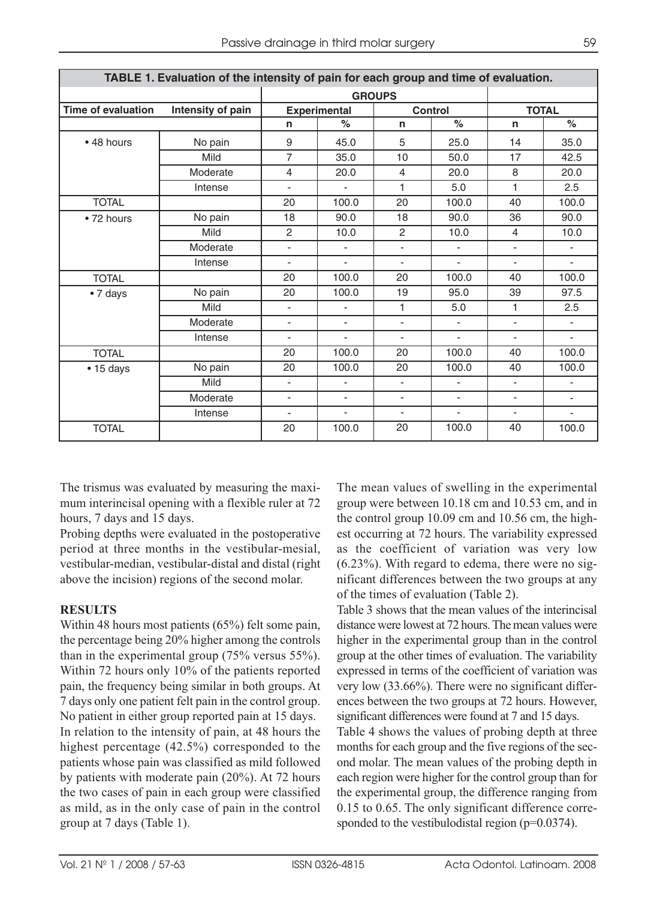| TABLE 1. Evaluation of the intensity of pain for each group and time of evaluation. |                   |                          |                          |                          |                          |                          |                          |
|-------------------------------------------------------------------------------------|-------------------|--------------------------|--------------------------|--------------------------|--------------------------|--------------------------|--------------------------|
|                                                                                     |                   | <b>GROUPS</b>            |                          |                          |                          |                          |                          |
| <b>Time of evaluation</b>                                                           | Intensity of pain | <b>Experimental</b>      |                          | <b>Control</b>           |                          | <b>TOTAL</b>             |                          |
|                                                                                     |                   | n                        | $\%$                     | n                        | $\frac{6}{6}$            | n                        | $\%$                     |
| • 48 hours                                                                          | No pain           | 9                        | 45.0                     | 5                        | 25.0                     | 14                       | 35.0                     |
|                                                                                     | Mild              | $\overline{7}$           | 35.0                     | 10                       | 50.0                     | 17                       | 42.5                     |
|                                                                                     | Moderate          | 4                        | 20.0                     | $\overline{4}$           | 20.0                     | 8                        | 20.0                     |
|                                                                                     | Intense           | $\overline{\phantom{a}}$ | $\overline{\phantom{a}}$ | 1                        | 5.0                      | 1                        | 2.5                      |
| <b>TOTAL</b>                                                                        |                   | 20                       | 100.0                    | 20                       | 100.0                    | 40                       | 100.0                    |
| • 72 hours                                                                          | No pain           | 18                       | 90.0                     | 18                       | 90.0                     | 36                       | 90.0                     |
|                                                                                     | Mild              | $\overline{c}$           | 10.0                     | $\overline{2}$           | 10.0                     | $\overline{4}$           | 10.0                     |
|                                                                                     | Moderate          | $\overline{\phantom{a}}$ | $\overline{\phantom{a}}$ | ٠                        | $\overline{\phantom{a}}$ | $\overline{\phantom{0}}$ | $\overline{\phantom{m}}$ |
|                                                                                     | Intense           | $\overline{\phantom{a}}$ |                          | $\blacksquare$           | ä,                       | $\blacksquare$           | $\overline{\phantom{a}}$ |
| <b>TOTAL</b>                                                                        |                   | 20                       | 100.0                    | 20                       | 100.0                    | 40                       | 100.0                    |
| • 7 days                                                                            | No pain           | 20                       | 100.0                    | 19                       | 95.0                     | 39                       | 97.5                     |
|                                                                                     | Mild              | $\overline{\phantom{a}}$ |                          | 1                        | 5.0                      | 1                        | 2.5                      |
|                                                                                     | Moderate          | $\overline{\phantom{a}}$ | $\overline{\phantom{a}}$ | $\overline{\phantom{a}}$ | $\overline{\phantom{a}}$ | $\overline{\phantom{a}}$ | $\overline{\phantom{a}}$ |
|                                                                                     | Intense           | $\overline{\phantom{a}}$ |                          | $\overline{\phantom{a}}$ | ÷,                       | ٠                        | $\overline{\phantom{0}}$ |
| <b>TOTAL</b>                                                                        |                   | 20                       | 100.0                    | 20                       | 100.0                    | 40                       | 100.0                    |
| $\cdot$ 15 days                                                                     | No pain           | 20                       | 100.0                    | 20                       | 100.0                    | 40                       | 100.0                    |
|                                                                                     | Mild              | $\overline{\phantom{a}}$ |                          | ٠                        | ÷,                       | $\overline{\phantom{a}}$ |                          |
|                                                                                     | Moderate          | ٠                        |                          | ٠                        | ۰                        | $\overline{\phantom{0}}$ | $\overline{\phantom{a}}$ |
|                                                                                     | Intense           | $\overline{\phantom{a}}$ | ٠                        | ٠                        | ÷,                       | ٠                        | ۳                        |
| <b>TOTAL</b>                                                                        |                   | 20                       | 100.0                    | 20                       | 100.0                    | 40                       | 100.0                    |

The trismus was evaluated by measuring the maximum interincisal opening with a flexible ruler at 72 hours, 7 days and 15 days.

Probing depths were evaluated in the postoperative period at three months in the vestibular-mesial, vestibular-median, vestibular-distal and distal (right above the incision) regions of the second molar.

# **RESULTS**

Within 48 hours most patients (65%) felt some pain, the percentage being 20% higher among the controls than in the experimental group (75% versus 55%). Within 72 hours only 10% of the patients reported pain, the frequency being similar in both groups. At 7 days only one patient felt pain in the control group. No patient in either group reported pain at 15 days. In relation to the intensity of pain, at 48 hours the highest percentage (42.5%) corresponded to the patients whose pain was classified as mild followed by patients with moderate pain (20%). At 72 hours the two cases of pain in each group were classified as mild, as in the only case of pain in the control group at 7 days (Table 1).

The mean values of swelling in the experimental group were between 10.18 cm and 10.53 cm, and in the control group 10.09 cm and 10.56 cm, the highest occurring at 72 hours. The variability expressed as the coefficient of variation was very low (6.23%). With regard to edema, there were no significant differences between the two groups at any of the times of evaluation (Table 2).

Table 3 shows that the mean values of the interincisal distance were lowest at 72 hours. The mean values were higher in the experimental group than in the control group at the other times of evaluation. The variability expressed in terms of the coefficient of variation was very low (33.66%). There were no significant differences between the two groups at 72 hours. However, significant differences were found at 7 and 15 days. Table 4 shows the values of probing depth at three months for each group and the five regions of the second molar. The mean values of the probing depth in each region were higher for the control group than for the experimental group, the difference ranging from 0.15 to 0.65. The only significant difference corresponded to the vestibulodistal region (p=0.0374).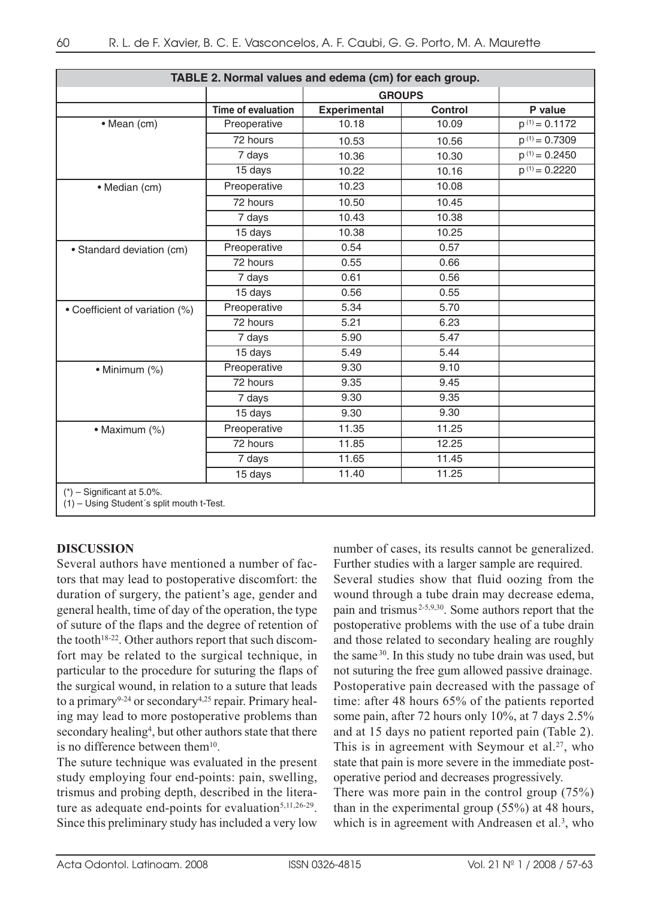| TABLE 2. Normal values and edema (cm) for each group.                     |                    |                     |                |                    |  |
|---------------------------------------------------------------------------|--------------------|---------------------|----------------|--------------------|--|
|                                                                           |                    | <b>GROUPS</b>       |                |                    |  |
|                                                                           | Time of evaluation | <b>Experimental</b> | <b>Control</b> | P value            |  |
| · Mean (cm)                                                               | Preoperative       | 10.18               | 10.09          | $p^{(1)} = 0.1172$ |  |
|                                                                           | 72 hours           | 10.53               | 10.56          | $p^{(1)} = 0.7309$ |  |
|                                                                           | 7 days             | 10.36               | 10.30          | $p^{(1)} = 0.2450$ |  |
|                                                                           | 15 days            | 10.22               | 10.16          | $p^{(1)} = 0.2220$ |  |
| • Median (cm)                                                             | Preoperative       | 10.23               | 10.08          |                    |  |
|                                                                           | 72 hours           | 10.50               | 10.45          |                    |  |
|                                                                           | 7 days             | 10.43               | 10.38          |                    |  |
|                                                                           | 15 days            | 10.38               | 10.25          |                    |  |
| • Standard deviation (cm)                                                 | Preoperative       | 0.54                | 0.57           |                    |  |
|                                                                           | 72 hours           | 0.55                | 0.66           |                    |  |
|                                                                           | 7 days             | 0.61                | 0.56           |                    |  |
|                                                                           | 15 days            | 0.56                | 0.55           |                    |  |
| • Coefficient of variation (%)                                            | Preoperative       | 5.34                | 5.70           |                    |  |
|                                                                           | 72 hours           | 5.21                | 6.23           |                    |  |
|                                                                           | 7 days             | 5.90                | 5.47           |                    |  |
|                                                                           | 15 days            | 5.49                | 5.44           |                    |  |
| • Minimum (%)                                                             | Preoperative       | 9.30                | 9.10           |                    |  |
|                                                                           | 72 hours           | 9.35                | 9.45           |                    |  |
|                                                                           | 7 days             | 9.30                | 9.35           |                    |  |
|                                                                           | 15 days            | 9.30                | 9.30           |                    |  |
| • Maximum (%)                                                             | Preoperative       | 11.35               | 11.25          |                    |  |
|                                                                           | 72 hours           | 11.85               | 12.25          |                    |  |
|                                                                           | 7 days             | 11.65               | 11.45          |                    |  |
|                                                                           | 15 days            | 11.40               | 11.25          |                    |  |
| $(*)$ – Significant at 5.0%.<br>(1) - Using Student's split mouth t-Test. |                    |                     |                |                    |  |

### **DISCUSSION**

Several authors have mentioned a number of factors that may lead to postoperative discomfort: the duration of surgery, the patient's age, gender and general health, time of day of the operation, the type of suture of the flaps and the degree of retention of the tooth<sup>18-22</sup>. Other authors report that such discomfort may be related to the surgical technique, in particular to the procedure for suturing the flaps of the surgical wound, in relation to a suture that leads to a primary<sup>9-24</sup> or secondary<sup>4,25</sup> repair. Primary healing may lead to more postoperative problems than secondary healing<sup>4</sup>, but other authors state that there is no difference between them<sup>10</sup>.

The suture technique was evaluated in the present study employing four end-points: pain, swelling, trismus and probing depth, described in the literature as adequate end-points for evaluation $5,11,26-29$ . Since this preliminary study has included a very low

number of cases, its results cannot be generalized. Further studies with a larger sample are required.

Several studies show that fluid oozing from the wound through a tube drain may decrease edema, pain and trismus 2-5,9,30. Some authors report that the postoperative problems with the use of a tube drain and those related to secondary healing are roughly the same 30. In this study no tube drain was used, but not suturing the free gum allowed passive drainage. Postoperative pain decreased with the passage of time: after 48 hours 65% of the patients reported some pain, after 72 hours only 10%, at 7 days 2.5% and at 15 days no patient reported pain (Table 2). This is in agreement with Seymour et al.<sup>27</sup>, who state that pain is more severe in the immediate postoperative period and decreases progressively. There was more pain in the control group (75%)

than in the experimental group (55%) at 48 hours, which is in agreement with Andreasen et al.<sup>3</sup>, who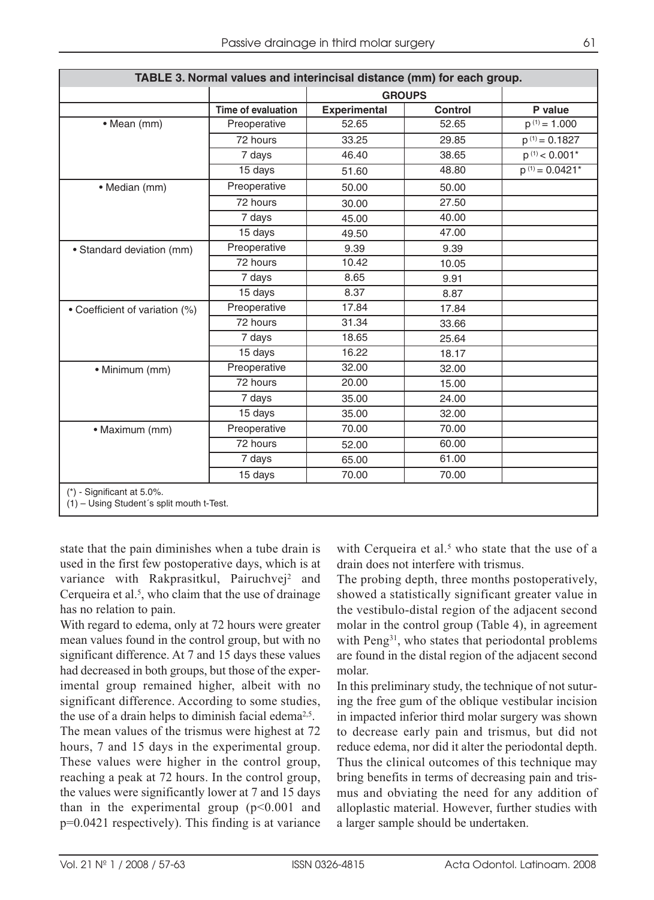| TABLE 3. Normal values and interincisal distance (mm) for each group.     |                           |                     |                |                     |  |
|---------------------------------------------------------------------------|---------------------------|---------------------|----------------|---------------------|--|
|                                                                           |                           |                     | <b>GROUPS</b>  |                     |  |
|                                                                           | <b>Time of evaluation</b> | <b>Experimental</b> | <b>Control</b> | P value             |  |
| • Mean (mm)                                                               | Preoperative              | 52.65               | 52.65          | $p^{(1)} = 1.000$   |  |
|                                                                           | 72 hours                  | 33.25               | 29.85          | $p^{(1)} = 0.1827$  |  |
|                                                                           | 7 days                    | 46.40               | 38.65          | $p^{(1)}$ < 0.001*  |  |
|                                                                           | 15 days                   | 51.60               | 48.80          | $p^{(1)} = 0.0421*$ |  |
| • Median (mm)                                                             | Preoperative              | 50.00               | 50.00          |                     |  |
|                                                                           | 72 hours                  | 30.00               | 27.50          |                     |  |
|                                                                           | 7 days                    | 45.00               | 40.00          |                     |  |
|                                                                           | 15 days                   | 49.50               | 47.00          |                     |  |
| • Standard deviation (mm)                                                 | Preoperative              | 9.39                | 9.39           |                     |  |
|                                                                           | 72 hours                  | 10.42               | 10.05          |                     |  |
|                                                                           | 7 days                    | 8.65                | 9.91           |                     |  |
|                                                                           | 15 days                   | 8.37                | 8.87           |                     |  |
| • Coefficient of variation (%)                                            | Preoperative              | 17.84               | 17.84          |                     |  |
|                                                                           | 72 hours                  | 31.34               | 33.66          |                     |  |
|                                                                           | 7 days                    | 18.65               | 25.64          |                     |  |
|                                                                           | 15 days                   | 16.22               | 18.17          |                     |  |
| • Minimum (mm)                                                            | Preoperative              | 32.00               | 32.00          |                     |  |
|                                                                           | 72 hours                  | 20.00               | 15.00          |                     |  |
|                                                                           | 7 days                    | 35.00               | 24.00          |                     |  |
|                                                                           | $15$ days                 | 35.00               | 32.00          |                     |  |
| · Maximum (mm)                                                            | Preoperative              | 70.00               | 70.00          |                     |  |
|                                                                           | 72 hours                  | 52.00               | 60.00          |                     |  |
|                                                                           | 7 days                    | 65.00               | 61.00          |                     |  |
|                                                                           | 15 days                   | 70.00               | 70.00          |                     |  |
| $(*)$ - Significant at 5.0%.<br>(1) - Using Student's split mouth t-Test. |                           |                     |                |                     |  |

state that the pain diminishes when a tube drain is used in the first few postoperative days, which is at variance with Rakprasitkul, Pairuchvej<sup>2</sup> and Cerqueira et al. $<sup>5</sup>$ , who claim that the use of drainage</sup> has no relation to pain.

With regard to edema, only at 72 hours were greater mean values found in the control group, but with no significant difference. At 7 and 15 days these values had decreased in both groups, but those of the experimental group remained higher, albeit with no significant difference. According to some studies, the use of a drain helps to diminish facial edema<sup>2,5</sup>. The mean values of the trismus were highest at 72 hours, 7 and 15 days in the experimental group. These values were higher in the control group, reaching a peak at 72 hours. In the control group, the values were significantly lower at 7 and 15 days than in the experimental group  $(p<0.001$  and p=0.0421 respectively). This finding is at variance

with Cerqueira et al.<sup>5</sup> who state that the use of a drain does not interfere with trismus.

The probing depth, three months postoperatively, showed a statistically significant greater value in the vestibulo-distal region of the adjacent second molar in the control group (Table 4), in agreement with Peng<sup>31</sup>, who states that periodontal problems are found in the distal region of the adjacent second molar.

In this preliminary study, the technique of not suturing the free gum of the oblique vestibular incision in impacted inferior third molar surgery was shown to decrease early pain and trismus, but did not reduce edema, nor did it alter the periodontal depth. Thus the clinical outcomes of this technique may bring benefits in terms of decreasing pain and trismus and obviating the need for any addition of alloplastic material. However, further studies with a larger sample should be undertaken.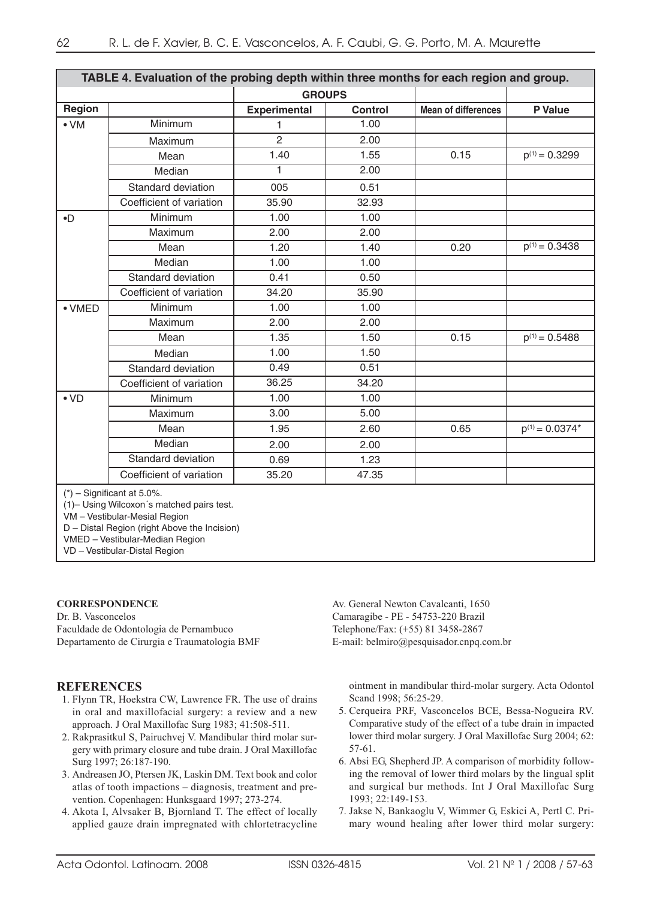| TABLE 4. Evaluation of the probing depth within three months for each region and group. |                          |                     |         |                            |                     |
|-----------------------------------------------------------------------------------------|--------------------------|---------------------|---------|----------------------------|---------------------|
|                                                                                         |                          | <b>GROUPS</b>       |         |                            |                     |
| Region                                                                                  |                          | <b>Experimental</b> | Control | <b>Mean of differences</b> | P Value             |
| $\bullet$ VM                                                                            | Minimum                  | 1                   | 1.00    |                            |                     |
|                                                                                         | Maximum                  | $\overline{c}$      | 2.00    |                            |                     |
|                                                                                         | Mean                     | 1.40                | 1.55    | 0.15                       | $p^{(1)} = 0.3299$  |
|                                                                                         | Median                   | 1                   | 2.00    |                            |                     |
|                                                                                         | Standard deviation       | 005                 | 0.51    |                            |                     |
|                                                                                         | Coefficient of variation | 35.90               | 32.93   |                            |                     |
| $\bullet$                                                                               | Minimum                  | 1.00                | 1.00    |                            |                     |
|                                                                                         | Maximum                  | 2.00                | 2.00    |                            |                     |
|                                                                                         | Mean                     | 1.20                | 1.40    | 0.20                       | $p^{(1)} = 0.3438$  |
|                                                                                         | Median                   | 1.00                | 1.00    |                            |                     |
|                                                                                         | Standard deviation       | 0.41                | 0.50    |                            |                     |
|                                                                                         | Coefficient of variation | 34.20               | 35.90   |                            |                     |
| $\bullet$ VMED                                                                          | Minimum                  | 1.00                | 1.00    |                            |                     |
|                                                                                         | Maximum                  | 2.00                | 2.00    |                            |                     |
|                                                                                         | Mean                     | 1.35                | 1.50    | 0.15                       | $p^{(1)} = 0.5488$  |
|                                                                                         | Median                   | 1.00                | 1.50    |                            |                     |
|                                                                                         | Standard deviation       | 0.49                | 0.51    |                            |                     |
|                                                                                         | Coefficient of variation | 36.25               | 34.20   |                            |                     |
| $\bullet$ VD                                                                            | Minimum                  | 1.00                | 1.00    |                            |                     |
|                                                                                         | Maximum                  | 3.00                | 5.00    |                            |                     |
|                                                                                         | Mean                     | 1.95                | 2.60    | 0.65                       | $p^{(1)} = 0.0374*$ |
|                                                                                         | Median                   | 2.00                | 2.00    |                            |                     |
|                                                                                         | Standard deviation       | 0.69                | 1.23    |                            |                     |
|                                                                                         | Coefficient of variation | 35.20               | 47.35   |                            |                     |
| $(*)$ $\equiv$ Significant at 5 0%                                                      |                          |                     |         |                            |                     |

Significant at 5.0%.

(1)– Using Wilcoxon´s matched pairs test.

VM – Vestibular-Mesial Region

D – Distal Region (right Above the Incision)

VMED – Vestibular-Median Region

VD – Vestibular-Distal Region

#### **CORRESPONDENCE**

Dr. B. Vasconcelos Faculdade de Odontologia de Pernambuco Departamento de Cirurgia e Traumatologia BMF

#### **REFERENCES**

- 1. Flynn TR, Hoekstra CW, Lawrence FR. The use of drains in oral and maxillofacial surgery: a review and a new approach. J Oral Maxillofac Surg 1983; 41:508-511.
- 2. Rakprasitkul S, Pairuchvej V. Mandibular third molar surgery with primary closure and tube drain. J Oral Maxillofac Surg 1997; 26:187-190.
- 3. Andreasen JO, Ptersen JK, Laskin DM. Text book and color atlas of tooth impactions – diagnosis, treatment and prevention. Copenhagen: Hunksgaard 1997; 273-274.
- 4. Akota I, Alvsaker B, Bjornland T. The effect of locally applied gauze drain impregnated with chlortetracycline

Av. General Newton Cavalcanti, 1650 Camaragibe - PE - 54753-220 Brazil Telephone/Fax: (+55) 81 3458-2867 E-mail: belmiro@pesquisador.cnpq.com.br

ointment in mandibular third-molar surgery. Acta Odontol Scand 1998; 56:25-29.

- 5. Cerqueira PRF, Vasconcelos BCE, Bessa-Nogueira RV. Comparative study of the effect of a tube drain in impacted lower third molar surgery. J Oral Maxillofac Surg 2004; 62: 57-61.
- 6. Absi EG, Shepherd JP. A comparison of morbidity following the removal of lower third molars by the lingual split and surgical bur methods. Int J Oral Maxillofac Surg 1993; 22:149-153.
- 7. Jakse N, Bankaoglu V, Wimmer G, Eskici A, Pertl C. Primary wound healing after lower third molar surgery: